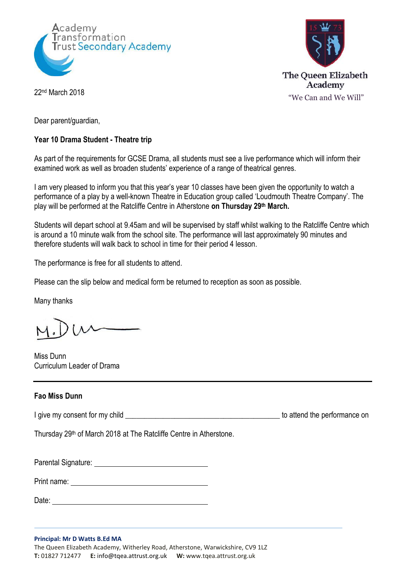



22<sup>nd</sup> March 2018

Dear parent/guardian,

## **Year 10 Drama Student - Theatre trip**

As part of the requirements for GCSE Drama, all students must see a live performance which will inform their examined work as well as broaden students' experience of a range of theatrical genres.

I am very pleased to inform you that this year's year 10 classes have been given the opportunity to watch a performance of a play by a well-known Theatre in Education group called 'Loudmouth Theatre Company'. The play will be performed at the Ratcliffe Centre in Atherstone **on Thursday 29th March.**

Students will depart school at 9.45am and will be supervised by staff whilst walking to the Ratcliffe Centre which is around a 10 minute walk from the school site. The performance will last approximately 90 minutes and therefore students will walk back to school in time for their period 4 lesson.

The performance is free for all students to attend.

Please can the slip below and medical form be returned to reception as soon as possible.

Many thanks

Miss Dunn Curriculum Leader of Drama

## **Fao Miss Dunn**

I give my consent for my child  $\blacksquare$ 

Thursday 29<sup>th</sup> of March 2018 at The Ratcliffe Centre in Atherstone.

Parental Signature: University of Parental Signature:

Print name:

Date: experience and the contract of the contract of the contract of the contract of the contract of the contract of the contract of the contract of the contract of the contract of the contract of the contract of the contr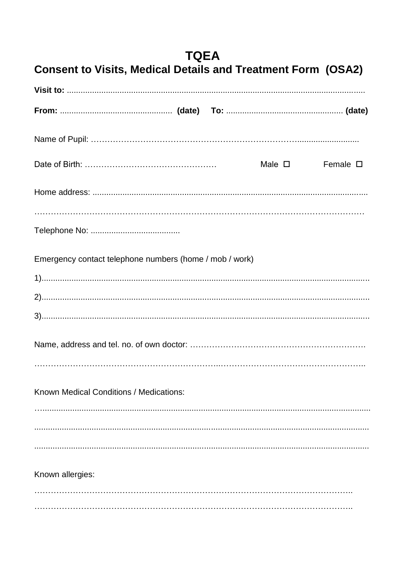| TQEA<br><b>Consent to Visits, Medical Details and Treatment Form (OSA2)</b> |                |                  |
|-----------------------------------------------------------------------------|----------------|------------------|
|                                                                             |                |                  |
|                                                                             |                |                  |
|                                                                             |                |                  |
|                                                                             | Male $\square$ | Female $\square$ |
|                                                                             |                |                  |
|                                                                             |                |                  |
|                                                                             |                |                  |
| Emergency contact telephone numbers (home / mob / work)                     |                |                  |
|                                                                             |                |                  |
|                                                                             |                |                  |
|                                                                             |                |                  |
|                                                                             |                |                  |
|                                                                             |                |                  |
| Known Medical Conditions / Medications:                                     |                |                  |
|                                                                             |                |                  |
|                                                                             |                |                  |
|                                                                             |                |                  |
| Known allergies:                                                            |                |                  |
|                                                                             |                |                  |
|                                                                             |                |                  |